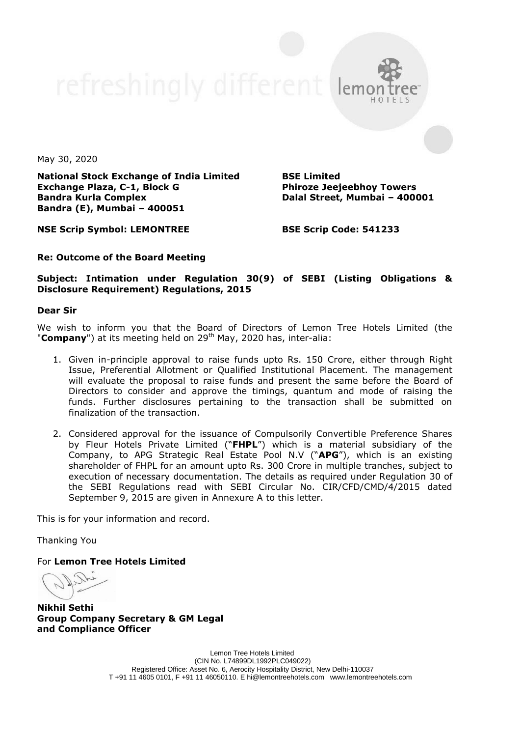refreshingly different leme

May 30, 2020

**National Stock Exchange of India Limited Exchange Plaza, C-1, Block G Bandra Kurla Complex Bandra (E), Mumbai – 400051**

**BSE Limited Phiroze Jeejeebhoy Towers Dalal Street, Mumbai – 400001**

**NSE Scrip Symbol: LEMONTREE**

**BSE Scrip Code: 541233**

## **Re: Outcome of the Board Meeting**

**Subject: Intimation under Regulation 30(9) of SEBI (Listing Obligations & Disclosure Requirement) Regulations, 2015**

## **Dear Sir**

We wish to inform you that the Board of Directors of Lemon Tree Hotels Limited (the "**Company**") at its meeting held on 29<sup>th</sup> May, 2020 has, inter-alia:

- 1. Given in-principle approval to raise funds upto Rs. 150 Crore, either through Right Issue, Preferential Allotment or Qualified Institutional Placement. The management will evaluate the proposal to raise funds and present the same before the Board of Directors to consider and approve the timings, quantum and mode of raising the funds. Further disclosures pertaining to the transaction shall be submitted on finalization of the transaction.
- 2. Considered approval for the issuance of Compulsorily Convertible Preference Shares by Fleur Hotels Private Limited ("**FHPL**") which is a material subsidiary of the Company, to APG Strategic Real Estate Pool N.V ("**APG**"), which is an existing shareholder of FHPL for an amount upto Rs. 300 Crore in multiple tranches, subject to execution of necessary documentation. The details as required under Regulation 30 of the SEBI Regulations read with SEBI Circular No. CIR/CFD/CMD/4/2015 dated September 9, 2015 are given in Annexure A to this letter.

This is for your information and record.

Thanking You

For **Lemon Tree Hotels Limited**

**Nikhil Sethi Group Company Secretary & GM Legal and Compliance Officer**